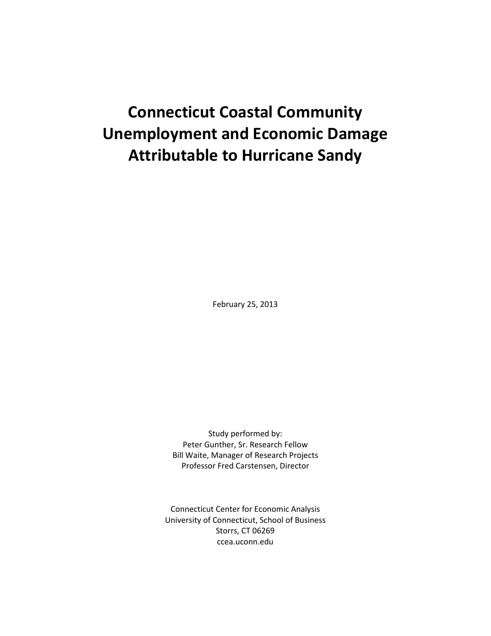# **Connecticut Coastal Community Unemployment and Economic Damage Attributable to Hurricane Sandy**

February 25, 2013

Study performed by: Peter Gunther, Sr. Research Fellow Bill Waite, Manager of Research Projects Professor Fred Carstensen, Director

Connecticut Center for Economic Analysis University of Connecticut, School of Business Storrs, CT 06269 ccea.uconn.edu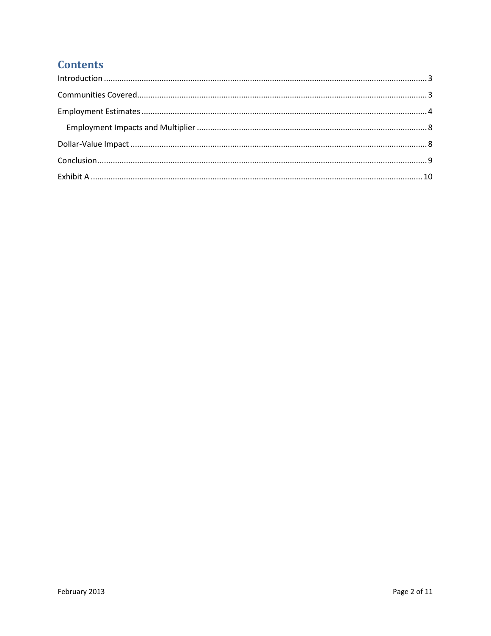## **Contents**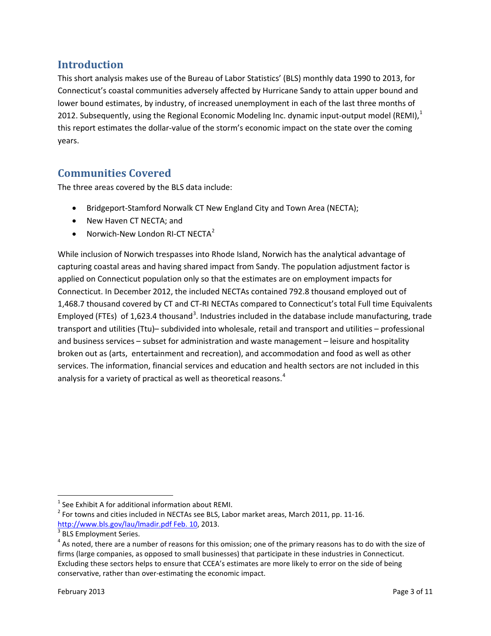## <span id="page-2-0"></span>**Introduction**

This short analysis makes use of the Bureau of Labor Statistics' (BLS) monthly data 1990 to 2013, for Connecticut's coastal communities adversely affected by Hurricane Sandy to attain upper bound and lower bound estimates, by industry, of increased unemployment in each of the last three months of 20[1](#page-2-2)2. Subsequently, using the Regional Economic Modeling Inc. dynamic input-output model (REMI), $<sup>1</sup>$ </sup> this report estimates the dollar-value of the storm's economic impact on the state over the coming years.

## <span id="page-2-1"></span>**Communities Covered**

The three areas covered by the BLS data include:

- Bridgeport-Stamford Norwalk CT New England City and Town Area (NECTA);
- New Haven CT NECTA; and
- Norwich-New London RI-CT NECTA<sup>[2](#page-2-3)</sup>

While inclusion of Norwich trespasses into Rhode Island, Norwich has the analytical advantage of capturing coastal areas and having shared impact from Sandy. The population adjustment factor is applied on Connecticut population only so that the estimates are on employment impacts for Connecticut. In December 2012, the included NECTAs contained 792.8 thousand employed out of 1,468.7 thousand covered by CT and CT-RI NECTAs compared to Connecticut's total Full time Equivalents Employed (FTEs) of 1,62[3](#page-2-4).4 thousand<sup>3</sup>. Industries included in the database include manufacturing, trade transport and utilities (Ttu)– subdivided into wholesale, retail and transport and utilities – professional and business services – subset for administration and waste management – leisure and hospitality broken out as (arts, entertainment and recreation), and accommodation and food as well as other services. The information, financial services and education and health sectors are not included in this analysis for a variety of practical as well as theoretical reasons.<sup>[4](#page-2-5)</sup>

l

<span id="page-2-3"></span><span id="page-2-2"></span><sup>&</sup>lt;sup>1</sup> See Exhibit A for additional information about REMI.<br><sup>2</sup> For towns and cities included in NECTAs see BLS, Labor market areas, March 2011, pp. 11-16. [http://www.bls.gov/lau/lmadir.pdf Feb. 10,](http://www.bls.gov/lau/lmadir.pdf%20Feb.%2010) 2013.<br><sup>3</sup> BLS Employment Series.

<span id="page-2-4"></span>

<span id="page-2-5"></span> $4$  As noted, there are a number of reasons for this omission; one of the primary reasons has to do with the size of firms (large companies, as opposed to small businesses) that participate in these industries in Connecticut. Excluding these sectors helps to ensure that CCEA's estimates are more likely to error on the side of being conservative, rather than over-estimating the economic impact.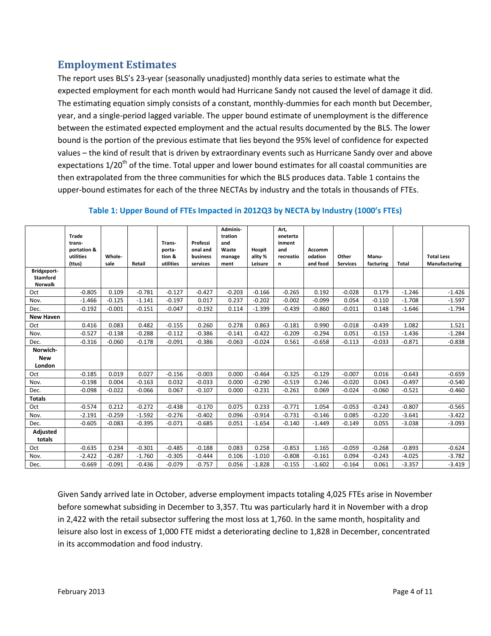## <span id="page-3-0"></span>**Employment Estimates**

The report uses BLS's 23-year (seasonally unadjusted) monthly data series to estimate what the expected employment for each month would had Hurricane Sandy not caused the level of damage it did. The estimating equation simply consists of a constant, monthly-dummies for each month but December, year, and a single-period lagged variable. The upper bound estimate of unemployment is the difference between the estimated expected employment and the actual results documented by the BLS. The lower bound is the portion of the previous estimate that lies beyond the 95% level of confidence for expected values – the kind of result that is driven by extraordinary events such as Hurricane Sandy over and above expectations 1/20<sup>th</sup> of the time. Total upper and lower bound estimates for all coastal communities are then extrapolated from the three communities for which the BLS produces data. Table 1 contains the upper-bound estimates for each of the three NECTAs by industry and the totals in thousands of FTEs.

|                                                  | Trade       |          |          |           |          | Adminis-<br>tration |               | Art,<br>eneterta |          |                 |           |          |                   |
|--------------------------------------------------|-------------|----------|----------|-----------|----------|---------------------|---------------|------------------|----------|-----------------|-----------|----------|-------------------|
|                                                  | trans-      |          |          | Trans-    | Professi | and                 |               | inment           |          |                 |           |          |                   |
|                                                  | portation & |          |          | porta-    | onal and | Waste               | <b>Hospit</b> | and              | Accomm   |                 |           |          |                   |
|                                                  | utilities   | Whole-   |          | tion &    | business | manage              | ality %       | recreatio        | odation  | Other           | Manu-     |          | <b>Total Less</b> |
|                                                  | (ttus)      | sale     | Retail   | utilities | services | ment                | Leisure       | n                | and food | <b>Services</b> | facturing | Total    | Manufacturing     |
| Bridgeport-<br><b>Stamford</b><br><b>Norwalk</b> |             |          |          |           |          |                     |               |                  |          |                 |           |          |                   |
| Oct                                              | $-0.805$    | 0.109    | $-0.781$ | $-0.127$  | $-0.427$ | $-0.203$            | $-0.166$      | $-0.265$         | 0.192    | $-0.028$        | 0.179     | $-1.246$ | $-1.426$          |
| Nov.                                             | $-1.466$    | $-0.125$ | $-1.141$ | $-0.197$  | 0.017    | 0.237               | $-0.202$      | $-0.002$         | $-0.099$ | 0.054           | $-0.110$  | $-1.708$ | $-1.597$          |
| Dec.                                             | $-0.192$    | $-0.001$ | $-0.151$ | $-0.047$  | $-0.192$ | 0.114               | $-1.399$      | $-0.439$         | $-0.860$ | $-0.011$        | 0.148     | $-1.646$ | $-1.794$          |
| <b>New Haven</b>                                 |             |          |          |           |          |                     |               |                  |          |                 |           |          |                   |
| Oct                                              | 0.416       | 0.083    | 0.482    | $-0.155$  | 0.260    | 0.278               | 0.863         | $-0.181$         | 0.990    | $-0.018$        | $-0.439$  | 1.082    | 1.521             |
| Nov.                                             | $-0.527$    | $-0.138$ | $-0.288$ | $-0.112$  | $-0.386$ | $-0.141$            | $-0.422$      | $-0.209$         | $-0.294$ | 0.051           | $-0.153$  | $-1.436$ | $-1.284$          |
| Dec.                                             | $-0.316$    | $-0.060$ | $-0.178$ | $-0.091$  | $-0.386$ | $-0.063$            | $-0.024$      | 0.561            | $-0.658$ | $-0.113$        | $-0.033$  | $-0.871$ | $-0.838$          |
| Norwich-                                         |             |          |          |           |          |                     |               |                  |          |                 |           |          |                   |
| <b>New</b>                                       |             |          |          |           |          |                     |               |                  |          |                 |           |          |                   |
| London                                           |             |          |          |           |          |                     |               |                  |          |                 |           |          |                   |
| Oct                                              | $-0.185$    | 0.019    | 0.027    | $-0.156$  | $-0.003$ | 0.000               | $-0.464$      | $-0.325$         | $-0.129$ | $-0.007$        | 0.016     | $-0.643$ | $-0.659$          |
| Nov.                                             | $-0.198$    | 0.004    | $-0.163$ | 0.032     | $-0.033$ | 0.000               | $-0.290$      | $-0.519$         | 0.246    | $-0.020$        | 0.043     | $-0.497$ | $-0.540$          |
| Dec.                                             | $-0.098$    | $-0.022$ | $-0.066$ | 0.067     | $-0.107$ | 0.000               | $-0.231$      | $-0.261$         | 0.069    | $-0.024$        | $-0.060$  | $-0.521$ | $-0.460$          |
| <b>Totals</b>                                    |             |          |          |           |          |                     |               |                  |          |                 |           |          |                   |
| Oct                                              | $-0.574$    | 0.212    | $-0.272$ | $-0.438$  | $-0.170$ | 0.075               | 0.233         | $-0.771$         | 1.054    | $-0.053$        | $-0.243$  | $-0.807$ | $-0.565$          |
| Nov.                                             | $-2.191$    | $-0.259$ | $-1.592$ | $-0.276$  | $-0.402$ | 0.096               | $-0.914$      | $-0.731$         | $-0.146$ | 0.085           | $-0.220$  | $-3.641$ | $-3.422$          |
| Dec.                                             | $-0.605$    | $-0.083$ | $-0.395$ | $-0.071$  | $-0.685$ | 0.051               | $-1.654$      | $-0.140$         | $-1.449$ | $-0.149$        | 0.055     | $-3.038$ | $-3.093$          |
| <b>Adjusted</b>                                  |             |          |          |           |          |                     |               |                  |          |                 |           |          |                   |
| totals                                           |             |          |          |           |          |                     |               |                  |          |                 |           |          |                   |
| Oct                                              | $-0.635$    | 0.234    | $-0.301$ | $-0.485$  | $-0.188$ | 0.083               | 0.258         | $-0.853$         | 1.165    | $-0.059$        | $-0.268$  | $-0.893$ | $-0.624$          |
| Nov.                                             | $-2.422$    | $-0.287$ | $-1.760$ | $-0.305$  | $-0.444$ | 0.106               | $-1.010$      | $-0.808$         | $-0.161$ | 0.094           | $-0.243$  | $-4.025$ | $-3.782$          |
| Dec.                                             | $-0.669$    | $-0.091$ | $-0.436$ | $-0.079$  | $-0.757$ | 0.056               | $-1.828$      | $-0.155$         | $-1.602$ | $-0.164$        | 0.061     | $-3.357$ | $-3.419$          |

#### **Table 1: Upper Bound of FTEs Impacted in 2012Q3 by NECTA by Industry (1000's FTEs)**

Given Sandy arrived late in October, adverse employment impacts totaling 4,025 FTEs arise in November before somewhat subsiding in December to 3,357. Ttu was particularly hard it in November with a drop in 2,422 with the retail subsector suffering the most loss at 1,760. In the same month, hospitality and leisure also lost in excess of 1,000 FTE midst a deteriorating decline to 1,828 in December, concentrated in its accommodation and food industry.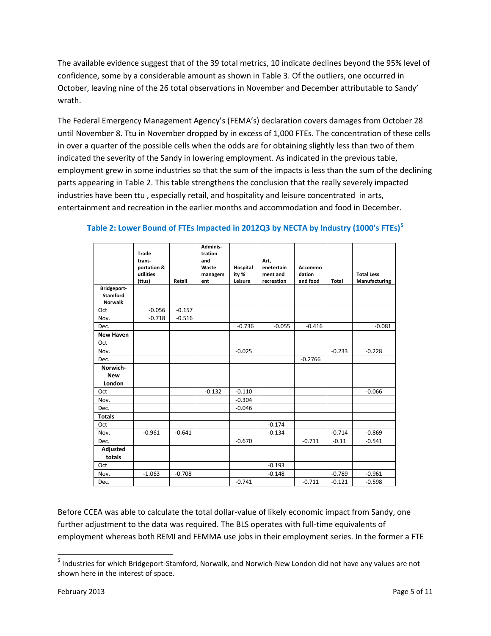The available evidence suggest that of the 39 total metrics, 10 indicate declines beyond the 95% level of confidence, some by a considerable amount as shown in Table 3. Of the outliers, one occurred in October, leaving nine of the 26 total observations in November and December attributable to Sandy' wrath.

The Federal Emergency Management Agency's (FEMA's) declaration covers damages from October 28 until November 8. Ttu in November dropped by in excess of 1,000 FTEs. The concentration of these cells in over a quarter of the possible cells when the odds are for obtaining slightly less than two of them indicated the severity of the Sandy in lowering employment. As indicated in the previous table, employment grew in some industries so that the sum of the impacts is less than the sum of the declining parts appearing in Table 2. This table strengthens the conclusion that the really severely impacted industries have been ttu , especially retail, and hospitality and leisure concentrated in arts, entertainment and recreation in the earlier months and accommodation and food in December.

|                                                         | Trade<br>trans-     |          | Adminis-<br>tration<br>and |                  | Art,                   |                    |          |                                    |
|---------------------------------------------------------|---------------------|----------|----------------------------|------------------|------------------------|--------------------|----------|------------------------------------|
|                                                         | portation &         |          | Waste                      | Hospital         | enetertain             | Accommo            |          |                                    |
|                                                         | utilities<br>(ttus) | Retail   | managem<br>ent             | ity %<br>Leisure | ment and<br>recreation | dation<br>and food | Total    | <b>Total Less</b><br>Manufacturing |
| <b>Bridgeport-</b><br><b>Stamford</b><br><b>Norwalk</b> |                     |          |                            |                  |                        |                    |          |                                    |
| Oct                                                     | $-0.056$            | $-0.157$ |                            |                  |                        |                    |          |                                    |
| Nov.                                                    | $-0.718$            | $-0.516$ |                            |                  |                        |                    |          |                                    |
| Dec.                                                    |                     |          |                            | $-0.736$         | $-0.055$               | $-0.416$           |          | $-0.081$                           |
| <b>New Haven</b>                                        |                     |          |                            |                  |                        |                    |          |                                    |
| Oct                                                     |                     |          |                            |                  |                        |                    |          |                                    |
| Nov.                                                    |                     |          |                            | $-0.025$         |                        |                    | $-0.233$ | $-0.228$                           |
| Dec.                                                    |                     |          |                            |                  |                        | $-0.2766$          |          |                                    |
| Norwich-                                                |                     |          |                            |                  |                        |                    |          |                                    |
| <b>New</b>                                              |                     |          |                            |                  |                        |                    |          |                                    |
| London                                                  |                     |          |                            |                  |                        |                    |          |                                    |
| Oct                                                     |                     |          | $-0.132$                   | $-0.110$         |                        |                    |          | $-0.066$                           |
| Nov.                                                    |                     |          |                            | $-0.304$         |                        |                    |          |                                    |
| Dec.                                                    |                     |          |                            | $-0.046$         |                        |                    |          |                                    |
| <b>Totals</b>                                           |                     |          |                            |                  |                        |                    |          |                                    |
| Oct                                                     |                     |          |                            |                  | $-0.174$               |                    |          |                                    |
| Nov.                                                    | $-0.961$            | $-0.641$ |                            |                  | $-0.134$               |                    | $-0.714$ | $-0.869$                           |
| Dec.                                                    |                     |          |                            | $-0.670$         |                        | $-0.711$           | $-0.11$  | $-0.541$                           |
| Adjusted<br>totals                                      |                     |          |                            |                  |                        |                    |          |                                    |
| Oct                                                     |                     |          |                            |                  | $-0.193$               |                    |          |                                    |
| Nov.                                                    | $-1.063$            | $-0.708$ |                            |                  | $-0.148$               |                    | $-0.789$ | $-0.961$                           |
| Dec.                                                    |                     |          |                            | $-0.741$         |                        | $-0.711$           | $-0.121$ | $-0.598$                           |

#### **Table 2: Lower Bound of FTEs Impacted in 2012Q3 by NECTA by Industry (1000's FTEs)[5](#page-4-0)**

Before CCEA was able to calculate the total dollar-value of likely economic impact from Sandy, one further adjustment to the data was required. The BLS operates with full-time equivalents of employment whereas both REMI and FEMMA use jobs in their employment series. In the former a FTE

 $\overline{\phantom{a}}$ 

<span id="page-4-0"></span><sup>5</sup> Industries for which Bridgeport-Stamford, Norwalk, and Norwich-New London did not have any values are not shown here in the interest of space.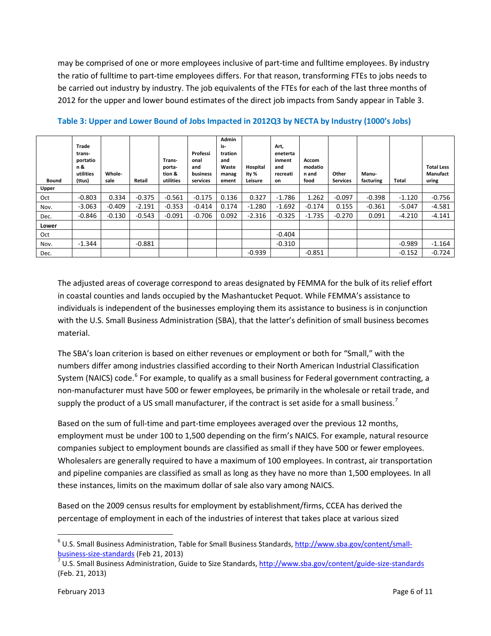may be comprised of one or more employees inclusive of part-time and fulltime employees. By industry the ratio of fulltime to part-time employees differs. For that reason, transforming FTEs to jobs needs to be carried out industry by industry. The job equivalents of the FTEs for each of the last three months of 2012 for the upper and lower bound estimates of the direct job impacts from Sandy appear in Table 3.

| <b>Bound</b> | Trade<br>trans-<br>portatio<br>n &<br>utilities<br>(ttus) | Whole-<br>sale | Retail   | Trans-<br>porta-<br>tion &<br>utilities | Professi<br>onal<br>and<br>business<br>services | Admin<br>is-<br>tration<br>and<br>Waste<br>manag<br>ement | Hospital<br>ity %<br>Leisure | Art,<br>eneterta<br>inment<br>and<br>recreati<br>on | Accom<br>modatio<br>n and<br>food | Other<br><b>Services</b> | Manu-<br>facturing | Total    | <b>Total Less</b><br><b>Manufact</b><br>uring |
|--------------|-----------------------------------------------------------|----------------|----------|-----------------------------------------|-------------------------------------------------|-----------------------------------------------------------|------------------------------|-----------------------------------------------------|-----------------------------------|--------------------------|--------------------|----------|-----------------------------------------------|
| Upper        |                                                           |                |          |                                         |                                                 |                                                           |                              |                                                     |                                   |                          |                    |          |                                               |
| Oct          | $-0.803$                                                  | 0.334          | $-0.375$ | $-0.561$                                | $-0.175$                                        | 0.136                                                     | 0.327                        | $-1.786$                                            | 1.262                             | $-0.097$                 | $-0.398$           | $-1.120$ | $-0.756$                                      |
| Nov.         | $-3.063$                                                  | $-0.409$       | $-2.191$ | $-0.353$                                | $-0.414$                                        | 0.174                                                     | $-1.280$                     | $-1.692$                                            | $-0.174$                          | 0.155                    | $-0.361$           | $-5.047$ | $-4.581$                                      |
| Dec.         | $-0.846$                                                  | $-0.130$       | $-0.543$ | $-0.091$                                | $-0.706$                                        | 0.092                                                     | $-2.316$                     | $-0.325$                                            | $-1.735$                          | $-0.270$                 | 0.091              | $-4.210$ | $-4.141$                                      |
| Lower        |                                                           |                |          |                                         |                                                 |                                                           |                              |                                                     |                                   |                          |                    |          |                                               |
| Oct          |                                                           |                |          |                                         |                                                 |                                                           |                              | $-0.404$                                            |                                   |                          |                    |          |                                               |
| Nov.         | $-1.344$                                                  |                | $-0.881$ |                                         |                                                 |                                                           |                              | $-0.310$                                            |                                   |                          |                    | $-0.989$ | $-1.164$                                      |
| Dec.         |                                                           |                |          |                                         |                                                 |                                                           | $-0.939$                     |                                                     | $-0.851$                          |                          |                    | $-0.152$ | $-0.724$                                      |

**Table 3: Upper and Lower Bound of Jobs Impacted in 2012Q3 by NECTA by Industry (1000's Jobs)**

The adjusted areas of coverage correspond to areas designated by FEMMA for the bulk of its relief effort in coastal counties and lands occupied by the Mashantucket Pequot. While FEMMA's assistance to individuals is independent of the businesses employing them its assistance to business is in conjunction with the U.S. Small Business Administration (SBA), that the latter's definition of small business becomes material.

The SBA's loan criterion is based on either revenues or employment or both for "Small," with the numbers differ among industries classified according to their North American Industrial Classification System (NAICS) code.<sup>[6](#page-5-0)</sup> For example, to qualify as a small business for Federal government contracting, a non-manufacturer must have 500 or fewer employees, be primarily in the wholesale or retail trade, and supply the product of a US small manufacturer, if the contract is set aside for a small business.<sup>[7](#page-5-1)</sup>

Based on the sum of full-time and part-time employees averaged over the previous 12 months, employment must be under 100 to 1,500 depending on the firm's NAICS. For example, natural resource companies subject to employment bounds are classified as small if they have 500 or fewer employees. Wholesalers are generally required to have a maximum of 100 employees. In contrast, air transportation and pipeline companies are classified as small as long as they have no more than 1,500 employees. In all these instances, limits on the maximum dollar of sale also vary among NAICS.

Based on the 2009 census results for employment by establishment/firms, CCEA has derived the percentage of employment in each of the industries of interest that takes place at various sized

 $\overline{\phantom{a}}$ 

<span id="page-5-0"></span> $6$  U.S. Small Business Administration, Table for Small Business Standards, [http://www.sba.gov/content/small](http://www.sba.gov/content/small-business-size-standards)[business-size-standards](http://www.sba.gov/content/small-business-size-standards) (Feb 21, 2013)<br><sup>7</sup> U.S. Small Business Administration, Guide to Size Standards, <u>http://www.sba.gov/content/guide-size-standards</u>

<span id="page-5-1"></span><sup>(</sup>Feb. 21, 2013)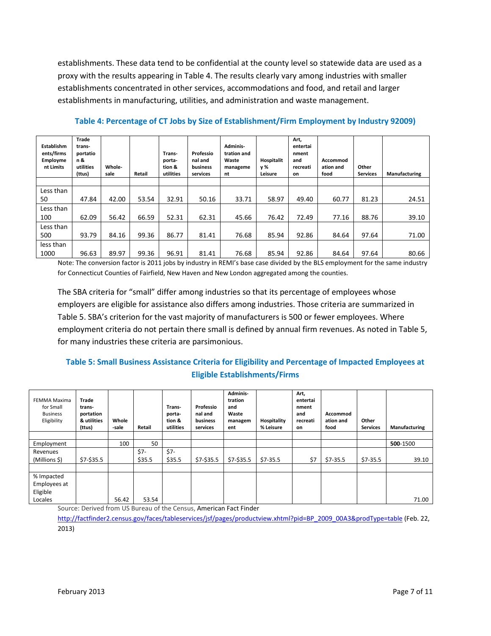establishments. These data tend to be confidential at the county level so statewide data are used as a proxy with the results appearing in Table 4. The results clearly vary among industries with smaller establishments concentrated in other services, accommodations and food, and retail and larger establishments in manufacturing, utilities, and administration and waste management.

| Establishm<br>ents/firms<br>Employme<br>nt Limits | Trade<br>trans-<br>portatio<br>n &<br>utilities<br>(ttus) | Whole-<br>sale | Retail | Trans-<br>porta-<br>tion &<br>utilities | Professio<br>nal and<br>business<br>services | Adminis-<br>tration and<br>Waste<br>manageme<br>nt | Hospitalit<br>v %<br>Leisure | Art,<br>entertai<br>nment<br>and<br>recreati<br>on | Accommod<br>ation and<br>food | Other<br><b>Services</b> | Manufacturing |
|---------------------------------------------------|-----------------------------------------------------------|----------------|--------|-----------------------------------------|----------------------------------------------|----------------------------------------------------|------------------------------|----------------------------------------------------|-------------------------------|--------------------------|---------------|
|                                                   |                                                           |                |        |                                         |                                              |                                                    |                              |                                                    |                               |                          |               |
| Less than                                         |                                                           |                |        |                                         |                                              |                                                    |                              |                                                    |                               |                          |               |
| 50                                                | 47.84                                                     | 42.00          | 53.54  | 32.91                                   | 50.16                                        | 33.71                                              | 58.97                        | 49.40                                              | 60.77                         | 81.23                    | 24.51         |
| Less than                                         |                                                           |                |        |                                         |                                              |                                                    |                              |                                                    |                               |                          |               |
| 100                                               | 62.09                                                     | 56.42          | 66.59  | 52.31                                   | 62.31                                        | 45.66                                              | 76.42                        | 72.49                                              | 77.16                         | 88.76                    | 39.10         |
| Less than                                         |                                                           |                |        |                                         |                                              |                                                    |                              |                                                    |                               |                          |               |
| 500                                               | 93.79                                                     | 84.16          | 99.36  | 86.77                                   | 81.41                                        | 76.68                                              | 85.94                        | 92.86                                              | 84.64                         | 97.64                    | 71.00         |
| less than                                         |                                                           |                |        |                                         |                                              |                                                    |                              |                                                    |                               |                          |               |
| 1000                                              | 96.63                                                     | 89.97          | 99.36  | 96.91                                   | 81.41                                        | 76.68                                              | 85.94                        | 92.86                                              | 84.64                         | 97.64                    | 80.66         |

**Table 4: Percentage of CT Jobs by Size of Establishment/Firm Employment by Industry 92009)**

Note: The conversion factor is 2011 jobs by industry in REMI's base case divided by the BLS employment for the same industry for Connecticut Counties of Fairfield, New Haven and New London aggregated among the counties.

The SBA criteria for "small" differ among industries so that its percentage of employees whose employers are eligible for assistance also differs among industries. Those criteria are summarized in Table 5. SBA's criterion for the vast majority of manufacturers is 500 or fewer employees. Where employment criteria do not pertain there small is defined by annual firm revenues. As noted in Table 5, for many industries these criteria are parsimonious.

#### **Table 5: Small Business Assistance Criteria for Eligibility and Percentage of Impacted Employees at Eligible Establishments/Firms**

| FEMMA Maxima<br>for Small<br><b>Business</b><br>Eligibility | Trade<br>trans-<br>portation<br>& utilities<br>(ttus) | Whole<br>-sale | Retail | Trans-<br>porta-<br>tion &<br>utilities | Professio<br>nal and<br>business<br>services | Adminis-<br>tration<br>and<br>Waste<br>managem<br>ent | Hospitality<br>% Leisure | Art,<br>entertai<br>nment<br>and<br>recreati<br>on | Accommod<br>ation and<br>food | Other<br><b>Services</b> | <b>Manufacturing</b> |
|-------------------------------------------------------------|-------------------------------------------------------|----------------|--------|-----------------------------------------|----------------------------------------------|-------------------------------------------------------|--------------------------|----------------------------------------------------|-------------------------------|--------------------------|----------------------|
|                                                             |                                                       |                |        |                                         |                                              |                                                       |                          |                                                    |                               |                          |                      |
| Employment                                                  |                                                       | 100            | 50     |                                         |                                              |                                                       |                          |                                                    |                               |                          | 500-1500             |
| Revenues                                                    |                                                       |                | \$7-   | \$7-                                    |                                              |                                                       |                          |                                                    |                               |                          |                      |
| (Millions \$)                                               | $$7 - $35.5$                                          |                | \$35.5 | \$35.5                                  | \$7-\$35.5                                   | \$7-\$35.5                                            | $$7-35.5$                | \$7                                                | $$7-35.5$                     | $$7-35.5$                | 39.10                |
|                                                             |                                                       |                |        |                                         |                                              |                                                       |                          |                                                    |                               |                          |                      |
| % Impacted                                                  |                                                       |                |        |                                         |                                              |                                                       |                          |                                                    |                               |                          |                      |
| Employees at                                                |                                                       |                |        |                                         |                                              |                                                       |                          |                                                    |                               |                          |                      |
| Eligible                                                    |                                                       |                |        |                                         |                                              |                                                       |                          |                                                    |                               |                          |                      |
| Locales                                                     |                                                       | 56.42          | 53.54  |                                         |                                              |                                                       |                          |                                                    |                               |                          | 71.00                |

Source: Derived from US Bureau of the Census, American Fact Finder

[http://factfinder2.census.gov/faces/tableservices/jsf/pages/productview.xhtml?pid=BP\\_2009\\_00A3&prodType=table](http://factfinder2.census.gov/faces/tableservices/jsf/pages/productview.xhtml?pid=BP_2009_00A3&prodType=table) (Feb. 22, 2013)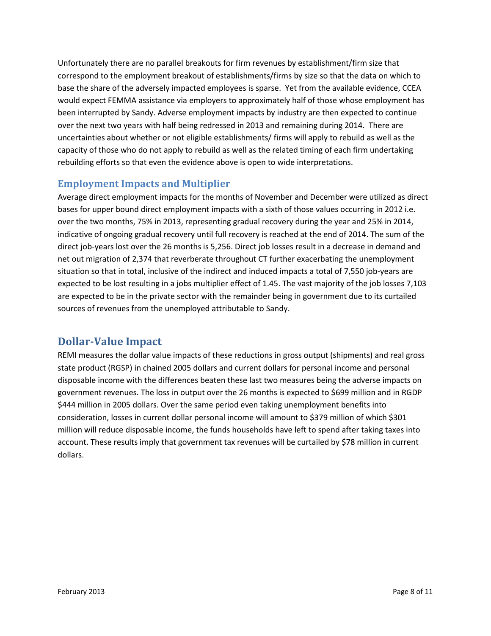Unfortunately there are no parallel breakouts for firm revenues by establishment/firm size that correspond to the employment breakout of establishments/firms by size so that the data on which to base the share of the adversely impacted employees is sparse. Yet from the available evidence, CCEA would expect FEMMA assistance via employers to approximately half of those whose employment has been interrupted by Sandy. Adverse employment impacts by industry are then expected to continue over the next two years with half being redressed in 2013 and remaining during 2014. There are uncertainties about whether or not eligible establishments/ firms will apply to rebuild as well as the capacity of those who do not apply to rebuild as well as the related timing of each firm undertaking rebuilding efforts so that even the evidence above is open to wide interpretations.

#### <span id="page-7-0"></span>**Employment Impacts and Multiplier**

Average direct employment impacts for the months of November and December were utilized as direct bases for upper bound direct employment impacts with a sixth of those values occurring in 2012 i.e. over the two months, 75% in 2013, representing gradual recovery during the year and 25% in 2014, indicative of ongoing gradual recovery until full recovery is reached at the end of 2014. The sum of the direct job-years lost over the 26 months is 5,256. Direct job losses result in a decrease in demand and net out migration of 2,374 that reverberate throughout CT further exacerbating the unemployment situation so that in total, inclusive of the indirect and induced impacts a total of 7,550 job-years are expected to be lost resulting in a jobs multiplier effect of 1.45. The vast majority of the job losses 7,103 are expected to be in the private sector with the remainder being in government due to its curtailed sources of revenues from the unemployed attributable to Sandy.

## <span id="page-7-1"></span>**Dollar-Value Impact**

REMI measures the dollar value impacts of these reductions in gross output (shipments) and real gross state product (RGSP) in chained 2005 dollars and current dollars for personal income and personal disposable income with the differences beaten these last two measures being the adverse impacts on government revenues. The loss in output over the 26 months is expected to \$699 million and in RGDP \$444 million in 2005 dollars. Over the same period even taking unemployment benefits into consideration, losses in current dollar personal income will amount to \$379 million of which \$301 million will reduce disposable income, the funds households have left to spend after taking taxes into account. These results imply that government tax revenues will be curtailed by \$78 million in current dollars.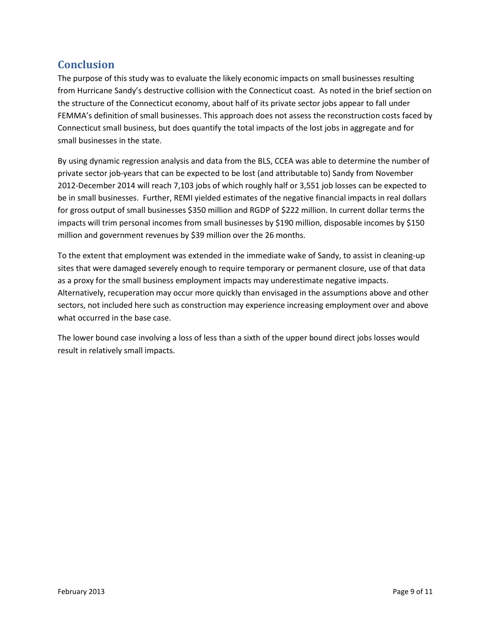## <span id="page-8-0"></span>**Conclusion**

The purpose of this study was to evaluate the likely economic impacts on small businesses resulting from Hurricane Sandy's destructive collision with the Connecticut coast. As noted in the brief section on the structure of the Connecticut economy, about half of its private sector jobs appear to fall under FEMMA's definition of small businesses. This approach does not assess the reconstruction costs faced by Connecticut small business, but does quantify the total impacts of the lost jobs in aggregate and for small businesses in the state.

By using dynamic regression analysis and data from the BLS, CCEA was able to determine the number of private sector job-years that can be expected to be lost (and attributable to) Sandy from November 2012-December 2014 will reach 7,103 jobs of which roughly half or 3,551 job losses can be expected to be in small businesses. Further, REMI yielded estimates of the negative financial impacts in real dollars for gross output of small businesses \$350 million and RGDP of \$222 million. In current dollar terms the impacts will trim personal incomes from small businesses by \$190 million, disposable incomes by \$150 million and government revenues by \$39 million over the 26 months.

To the extent that employment was extended in the immediate wake of Sandy, to assist in cleaning-up sites that were damaged severely enough to require temporary or permanent closure, use of that data as a proxy for the small business employment impacts may underestimate negative impacts. Alternatively, recuperation may occur more quickly than envisaged in the assumptions above and other sectors, not included here such as construction may experience increasing employment over and above what occurred in the base case.

The lower bound case involving a loss of less than a sixth of the upper bound direct jobs losses would result in relatively small impacts.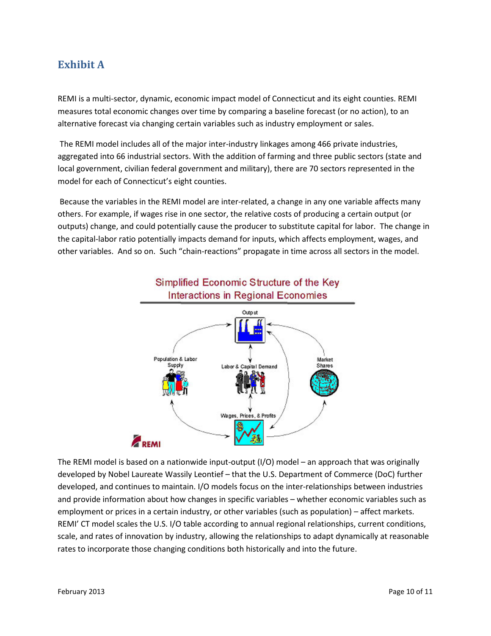## <span id="page-9-0"></span>**Exhibit A**

REMI is a multi-sector, dynamic, economic impact model of Connecticut and its eight counties. REMI measures total economic changes over time by comparing a baseline forecast (or no action), to an alternative forecast via changing certain variables such as industry employment or sales.

The REMI model includes all of the major inter-industry linkages among 466 private industries, aggregated into 66 industrial sectors. With the addition of farming and three public sectors (state and local government, civilian federal government and military), there are 70 sectors represented in the model for each of Connecticut's eight counties.

Because the variables in the REMI model are inter-related, a change in any one variable affects many others. For example, if wages rise in one sector, the relative costs of producing a certain output (or outputs) change, and could potentially cause the producer to substitute capital for labor. The change in the capital-labor ratio potentially impacts demand for inputs, which affects employment, wages, and other variables. And so on. Such "chain-reactions" propagate in time across all sectors in the model.



The REMI model is based on a nationwide input-output (I/O) model – an approach that was originally developed by Nobel Laureate Wassily Leontief – that the U.S. Department of Commerce (DoC) further developed, and continues to maintain. I/O models focus on the inter-relationships between industries and provide information about how changes in specific variables – whether economic variables such as employment or prices in a certain industry, or other variables (such as population) – affect markets. REMI' CT model scales the U.S. I/O table according to annual regional relationships, current conditions, scale, and rates of innovation by industry, allowing the relationships to adapt dynamically at reasonable rates to incorporate those changing conditions both historically and into the future.